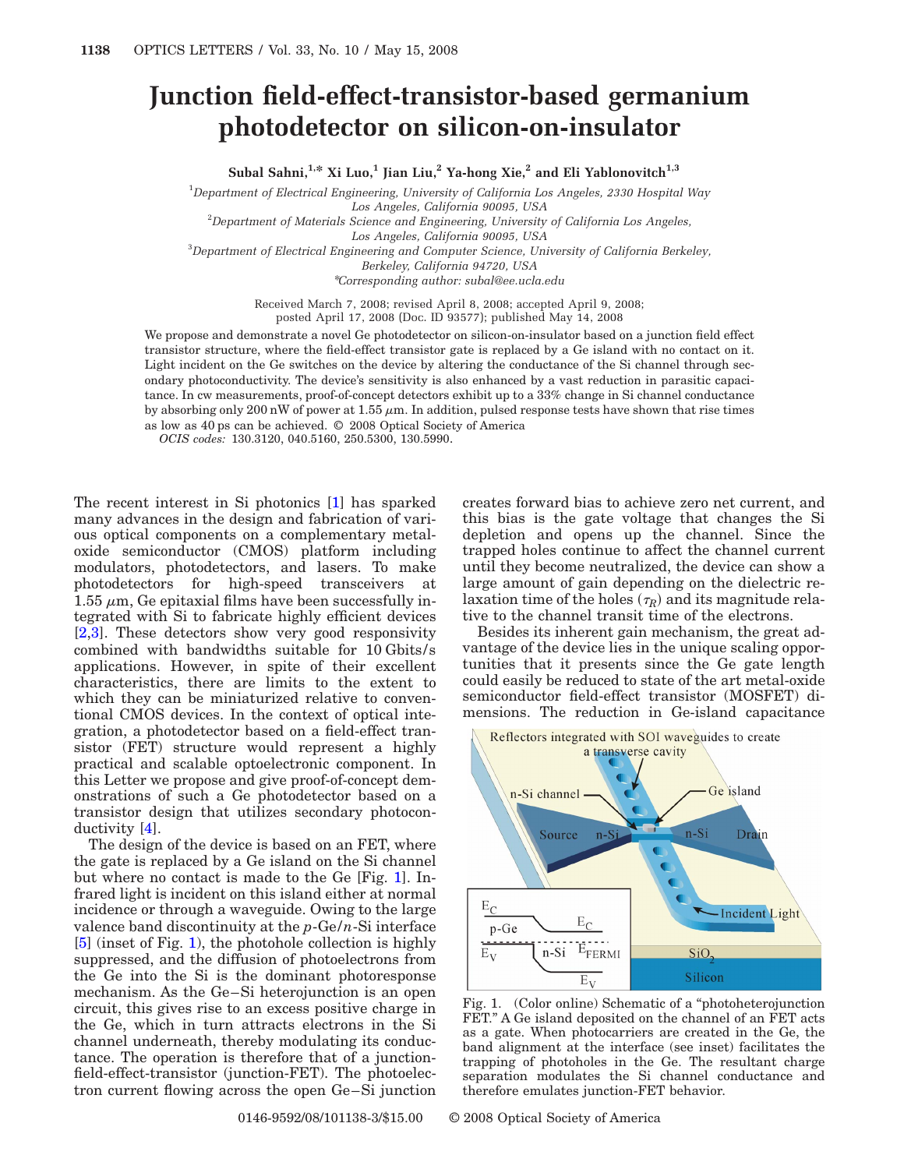## **Junction field-effect-transistor-based germanium photodetector on silicon-on-insulator**

Subal Sahni,<sup>1,\*</sup> Xi Luo,<sup>1</sup> Jian Liu,<sup>2</sup> Ya-hong Xie,<sup>2</sup> and Eli Yablonovitch<sup>1,3</sup>

1 *Department of Electrical Engineering, University of California Los Angeles, 2330 Hospital Way*

*Los Angeles, California 90095, USA*

2 *Department of Materials Science and Engineering, University of California Los Angeles,*

*Los Angeles, California 90095, USA*

3 *Department of Electrical Engineering and Computer Science, University of California Berkeley,*

*Berkeley, California 94720, USA*

\**Corresponding author: subal@ee.ucla.edu*

Received March 7, 2008; revised April 8, 2008; accepted April 9, 2008;

posted April 17, 2008 (Doc. ID 93577); published May 14, 2008

We propose and demonstrate a novel Ge photodetector on silicon-on-insulator based on a junction field effect transistor structure, where the field-effect transistor gate is replaced by a Ge island with no contact on it. Light incident on the Ge switches on the device by altering the conductance of the Si channel through secondary photoconductivity. The device's sensitivity is also enhanced by a vast reduction in parasitic capacitance. In cw measurements, proof-of-concept detectors exhibit up to a 33% change in Si channel conductance by absorbing only 200 nW of power at 1.55  $\mu$ m. In addition, pulsed response tests have shown that rise times as low as 40 ps can be achieved. © 2008 Optical Society of America

*OCIS codes:* 130.3120, 040.5160, 250.5300, 130.5990.

The recent interest in Si photonics [\[1\]](#page-2-0) has sparked many advances in the design and fabrication of various optical components on a complementary metaloxide semiconductor (CMOS) platform including modulators, photodetectors, and lasers. To make photodetectors for high-speed transceivers at 1.55  $\mu$ m, Ge epitaxial films have been successfully integrated with Si to fabricate highly efficient devices [\[2,](#page-2-1)[3\]](#page-2-2). These detectors show very good responsivity combined with bandwidths suitable for 10 Gbits/s applications. However, in spite of their excellent characteristics, there are limits to the extent to which they can be miniaturized relative to conventional CMOS devices. In the context of optical integration, a photodetector based on a field-effect transistor (FET) structure would represent a highly practical and scalable optoelectronic component. In this Letter we propose and give proof-of-concept demonstrations of such a Ge photodetector based on a transistor design that utilizes secondary photoconductivity [\[4\]](#page-2-3).

The design of the device is based on an FET, where the gate is replaced by a Ge island on the Si channel but where no contact is made to the Ge [Fig. [1\]](#page-0-0). Infrared light is incident on this island either at normal incidence or through a waveguide. Owing to the large valence band discontinuity at the *p*-Ge/*n*-Si interface [\[5\]](#page-2-4) (inset of Fig. [1\)](#page-0-0), the photohole collection is highly suppressed, and the diffusion of photoelectrons from the Ge into the Si is the dominant photoresponse mechanism. As the Ge–Si heterojunction is an open circuit, this gives rise to an excess positive charge in the Ge, which in turn attracts electrons in the Si channel underneath, thereby modulating its conductance. The operation is therefore that of a junctionfield-effect-transistor (junction-FET). The photoelectron current flowing across the open Ge–Si junction creates forward bias to achieve zero net current, and this bias is the gate voltage that changes the Si depletion and opens up the channel. Since the trapped holes continue to affect the channel current until they become neutralized, the device can show a large amount of gain depending on the dielectric relaxation time of the holes  $(\tau_R)$  and its magnitude relative to the channel transit time of the electrons.

Besides its inherent gain mechanism, the great advantage of the device lies in the unique scaling opportunities that it presents since the Ge gate length could easily be reduced to state of the art metal-oxide semiconductor field-effect transistor (MOSFET) dimensions. The reduction in Ge-island capacitance

<span id="page-0-0"></span>

Fig. 1. (Color online) Schematic of a "photoheterojunction FET." A Ge island deposited on the channel of an FET acts as a gate. When photocarriers are created in the Ge, the band alignment at the interface (see inset) facilitates the trapping of photoholes in the Ge. The resultant charge separation modulates the Si channel conductance and therefore emulates junction-FET behavior.

0146-9592/08/101138-3/\$15.00 © 2008 Optical Society of America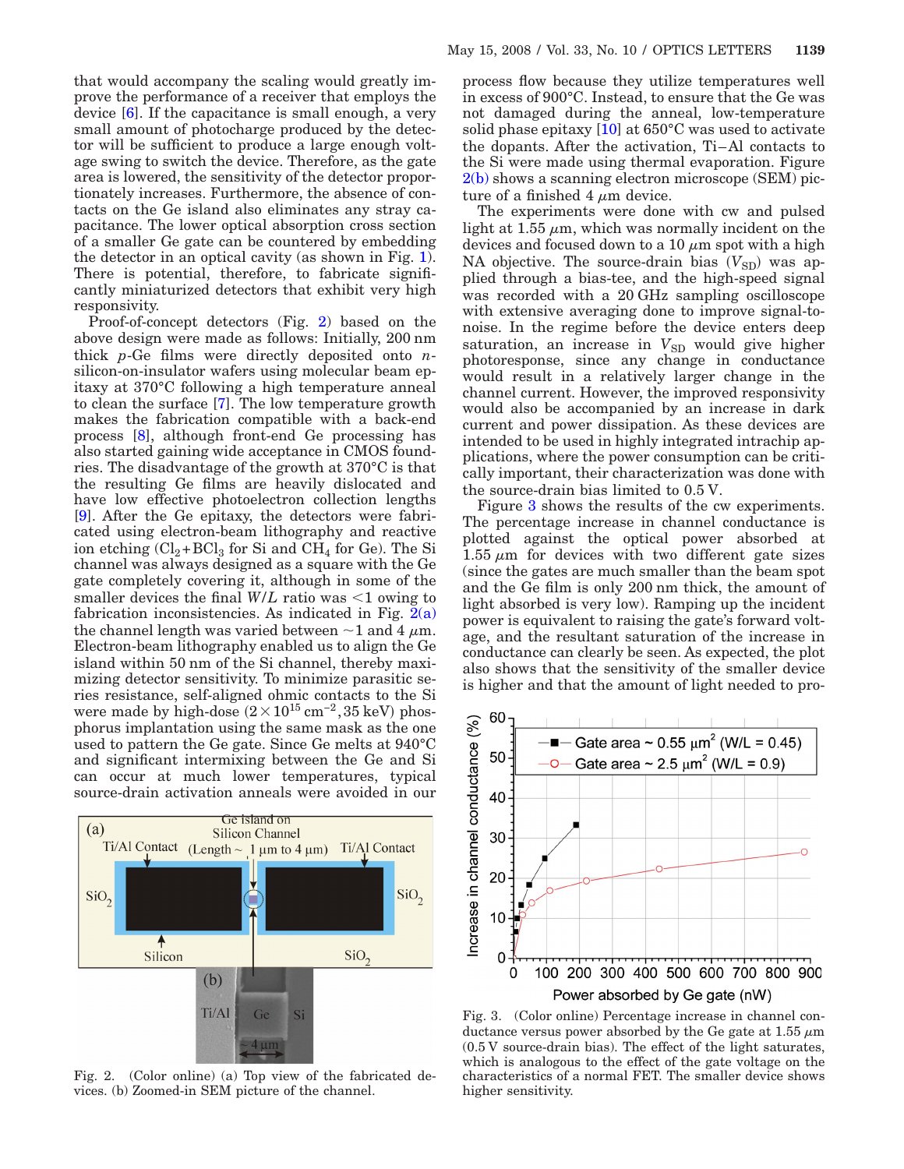that would accompany the scaling would greatly improve the performance of a receiver that employs the device [\[6\]](#page-2-5). If the capacitance is small enough, a very small amount of photocharge produced by the detector will be sufficient to produce a large enough voltage swing to switch the device. Therefore, as the gate area is lowered, the sensitivity of the detector proportionately increases. Furthermore, the absence of contacts on the Ge island also eliminates any stray capacitance. The lower optical absorption cross section of a smaller Ge gate can be countered by embedding the detector in an optical cavity (as shown in Fig. [1\)](#page-0-0). There is potential, therefore, to fabricate significantly miniaturized detectors that exhibit very high responsivity.

Proof-of-concept detectors (Fig. [2\)](#page-1-0) based on the above design were made as follows: Initially, 200 nm thick *p*-Ge films were directly deposited onto *n*silicon-on-insulator wafers using molecular beam epitaxy at 370°C following a high temperature anneal to clean the surface [\[7\]](#page-2-6). The low temperature growth makes the fabrication compatible with a back-end process [\[8\]](#page-2-7), although front-end Ge processing has also started gaining wide acceptance in CMOS foundries. The disadvantage of the growth at 370°C is that the resulting Ge films are heavily dislocated and have low effective photoelectron collection lengths [\[9\]](#page-2-8). After the Ge epitaxy, the detectors were fabricated using electron-beam lithography and reactive ion etching  $(Cl_2+BCl_3$  for Si and  $CH_4$  for Ge). The Si channel was always designed as a square with the Ge gate completely covering it, although in some of the smaller devices the final  $W/L$  ratio was  $\leq 1$  owing to fabrication inconsistencies. As indicated in Fig.  $2(a)$ the channel length was varied between  $\sim$  1 and 4  $\mu$ m. Electron-beam lithography enabled us to align the Ge island within 50 nm of the Si channel, thereby maximizing detector sensitivity. To minimize parasitic series resistance, self-aligned ohmic contacts to the Si were made by high-dose  $(2 \times 10^{15} \,\mathrm{cm}^{-2}, 35 \,\mathrm{keV})$  phosphorus implantation using the same mask as the one used to pattern the Ge gate. Since Ge melts at 940°C and significant intermixing between the Ge and Si can occur at much lower temperatures, typical source-drain activation anneals were avoided in our

<span id="page-1-0"></span>

Fig. 2. (Color online) (a) Top view of the fabricated devices. (b) Zoomed-in SEM picture of the channel.

process flow because they utilize temperatures well in excess of 900°C. Instead, to ensure that the Ge was not damaged during the anneal, low-temperature solid phase epitaxy  $[10]$  at 650°C was used to activate the dopants. After the activation, Ti–Al contacts to the Si were made using thermal evaporation. Figure [2\(b\)](#page-1-0) shows a scanning electron microscope (SEM) picture of a finished  $4 \mu m$  device.

The experiments were done with cw and pulsed light at 1.55  $\mu$ m, which was normally incident on the devices and focused down to a 10  $\mu$ m spot with a high NA objective. The source-drain bias  $(V_{\rm SD})$  was applied through a bias-tee, and the high-speed signal was recorded with a 20 GHz sampling oscilloscope with extensive averaging done to improve signal-tonoise. In the regime before the device enters deep saturation, an increase in  $V_{SD}$  would give higher photoresponse, since any change in conductance would result in a relatively larger change in the channel current. However, the improved responsivity would also be accompanied by an increase in dark current and power dissipation. As these devices are intended to be used in highly integrated intrachip applications, where the power consumption can be critically important, their characterization was done with the source-drain bias limited to 0.5 V.

Figure [3](#page-1-1) shows the results of the cw experiments. The percentage increase in channel conductance is plotted against the optical power absorbed at  $1.55 \mu m$  for devices with two different gate sizes (since the gates are much smaller than the beam spot and the Ge film is only 200 nm thick, the amount of light absorbed is very low). Ramping up the incident power is equivalent to raising the gate's forward voltage, and the resultant saturation of the increase in conductance can clearly be seen. As expected, the plot also shows that the sensitivity of the smaller device is higher and that the amount of light needed to pro-

<span id="page-1-1"></span>

Fig. 3. (Color online) Percentage increase in channel conductance versus power absorbed by the Ge gate at  $1.55 \mu m$ (0.5 V source-drain bias). The effect of the light saturates, which is analogous to the effect of the gate voltage on the characteristics of a normal FET. The smaller device shows higher sensitivity.